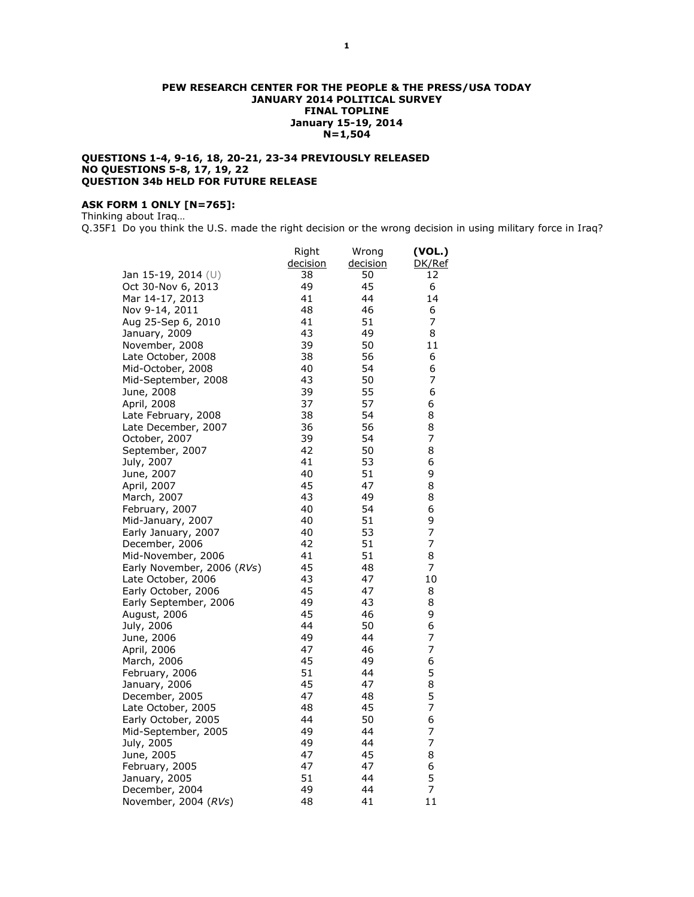### **PEW RESEARCH CENTER FOR THE PEOPLE & THE PRESS/USA TODAY JANUARY 2014 POLITICAL SURVEY FINAL TOPLINE January 15-19, 2014 N=1,504**

## **QUESTIONS 1-4, 9-16, 18, 20-21, 23-34 PREVIOUSLY RELEASED NO QUESTIONS 5-8, 17, 19, 22 QUESTION 34b HELD FOR FUTURE RELEASE**

# **ASK FORM 1 ONLY [N=765]:**

Thinking about Iraq…

Q.35F1 Do you think the U.S. made the right decision or the wrong decision in using military force in Iraq?

|                                      | Right    | Wrong    | (VOL.)         |
|--------------------------------------|----------|----------|----------------|
|                                      | decision | decision | DK/Ref         |
| Jan 15-19, 2014 (U)                  | 38       | 50       | 12             |
| Oct 30-Nov 6, 2013                   | 49       | 45       | 6              |
| Mar 14-17, 2013                      | 41       | 44       | 14             |
| Nov 9-14, 2011                       | 48       | 46       | 6              |
| Aug 25-Sep 6, 2010                   | 41       | 51       | 7              |
| January, 2009                        | 43       | 49       | 8              |
| November, 2008                       | 39       | 50       | 11             |
| Late October, 2008                   | 38       | 56       | 6              |
| Mid-October, 2008                    | 40       | 54       | 6              |
| Mid-September, 2008                  | 43       | 50       | $\overline{7}$ |
| June, 2008                           | 39       | 55       | 6              |
| April, 2008                          | 37       | 57       | 6              |
| Late February, 2008                  | 38       | 54       | 8              |
| Late December, 2007                  | 36       | 56       | 8              |
| October, 2007                        | 39       | 54       | 7              |
| September, 2007                      | 42       | 50       | 8              |
| July, 2007                           | 41       | 53       | 6              |
| June, 2007                           | 40       | 51       | 9              |
| April, 2007                          | 45       | 47       | 8              |
| March, 2007                          | 43       | 49       | 8              |
| February, 2007                       | 40       | 54       | 6              |
| Mid-January, 2007                    | 40       | 51       | 9              |
| Early January, 2007                  | 40       | 53       | 7              |
| December, 2006                       | 42       | 51       | 7              |
| Mid-November, 2006                   | 41       | 51       | 8              |
| Early November, 2006 (RVs)           | 45       | 48       | $\overline{7}$ |
| Late October, 2006                   | 43       | 47       | 10             |
| Early October, 2006                  | 45       | 47       | 8              |
| Early September, 2006                | 49       | 43       | 8              |
| August, 2006                         | 45       | 46       | 9              |
| July, 2006                           | 44       | 50       | 6<br>7         |
| June, 2006                           | 49       | 44       |                |
| April, 2006                          | 47<br>45 | 46       | 7<br>6         |
| March, 2006                          | 51       | 49       | 5              |
| February, 2006                       | 45       | 44<br>47 | 8              |
| January, 2006                        | 47       | 48       | 5              |
| December, 2005<br>Late October, 2005 | 48       | 45       | 7              |
|                                      | 44       | 50       | 6              |
| Early October, 2005                  | 49       | 44       | 7              |
| Mid-September, 2005<br>July, 2005    | 49       | 44       | 7              |
|                                      | 47       | 45       | 8              |
| June, 2005<br>February, 2005         | 47       | 47       | 6              |
|                                      | 51       | 44       | 5              |
| January, 2005<br>December, 2004      | 49       | 44       | $\overline{7}$ |
| November, 2004 (RVs)                 | 48       | 41       | 11             |
|                                      |          |          |                |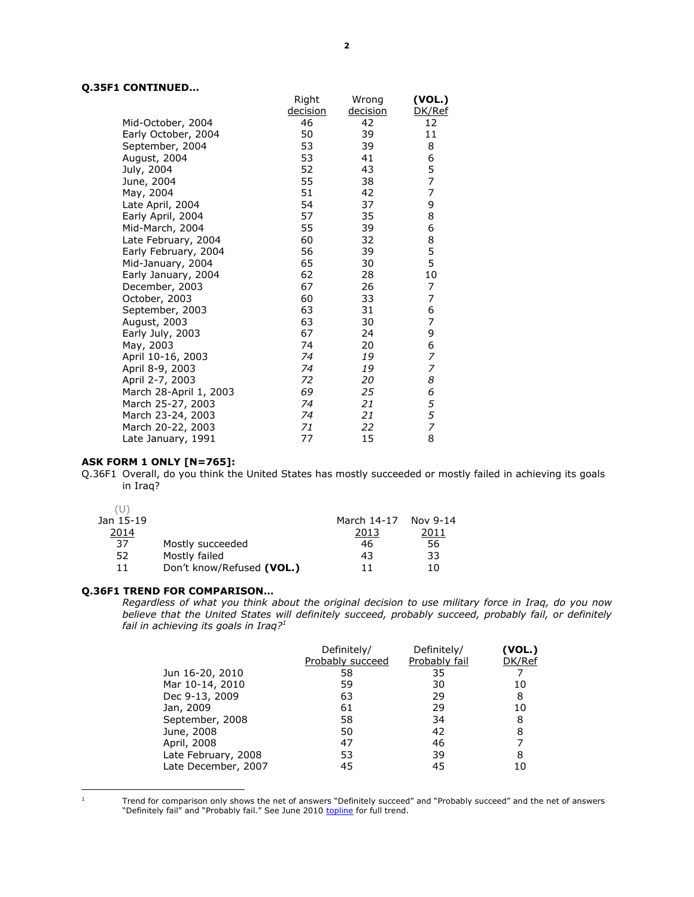# **Q.35F1 CONTINUED…**

|                        | Right    | Wrong    | (VOL.) |
|------------------------|----------|----------|--------|
|                        | decision | decision | DK/Ref |
| Mid-October, 2004      | 46       | 42       | 12     |
| Early October, 2004    | 50       | 39       | 11     |
| September, 2004        | 53       | 39       | 8      |
| August, 2004           | 53       | 41       | 6      |
| July, 2004             | 52       | 43       | 5      |
| June, 2004             | 55       | 38       | 7      |
| May, 2004              | 51       | 42       | 7      |
| Late April, 2004       | 54       | 37       | 9      |
| Early April, 2004      | 57       | 35       | 8      |
| Mid-March, 2004        | 55       | 39       | 6      |
| Late February, 2004    | 60       | 32       | 8      |
| Early February, 2004   | 56       | 39       | 5      |
| Mid-January, 2004      | 65       | 30       | 5      |
| Early January, 2004    | 62       | 28       | 10     |
| December, 2003         | 67       | 26       | 7      |
| October, 2003          | 60       | 33       | 7      |
| September, 2003        | 63       | 31       | 6      |
| August, 2003           | 63       | 30       | 7      |
| Early July, 2003       | 67       | 24       | 9      |
| May, 2003              | 74       | 20       | 6      |
| April 10-16, 2003      | 74       | 19       | 7      |
| April 8-9, 2003        | 74       | 19       | 7      |
| April 2-7, 2003        | 72       | 20       | 8      |
| March 28-April 1, 2003 | 69       | 25       | 6      |
| March 25-27, 2003      | 74       | 21       | 5      |
| March 23-24, 2003      | 74       | 21       | 5      |
| March 20-22, 2003      | 71       | 22       | 7      |
| Late January, 1991     | 77       | 15       | 8      |

# **ASK FORM 1 ONLY [N=765]:**

Q.36F1 Overall, do you think the United States has mostly succeeded or mostly failed in achieving its goals in Iraq?

| Jan 15-19 |                           | March 14-17 | Nov 9-14 |
|-----------|---------------------------|-------------|----------|
| 2014      |                           | 2013        | 2011     |
| 37        | Mostly succeeded          | 46          | 56       |
| 52        | Mostly failed             | 43          | 33       |
| 11        | Don't know/Refused (VOL.) | 11          | 10       |
|           |                           |             |          |

## **Q.36F1 TREND FOR COMPARISON…**

*Regardless of what you think about the original decision to use military force in Iraq, do you now believe that the United States will definitely succeed, probably succeed, probably fail, or definitely fail in achieving its goals in Iraq?<sup>1</sup>*

|                     | Definitely/      | Definitely/   | (VOL.) |
|---------------------|------------------|---------------|--------|
|                     | Probably succeed | Probably fail | DK/Ref |
| Jun 16-20, 2010     | 58               | 35            |        |
| Mar 10-14, 2010     | 59               | 30            | 10     |
| Dec 9-13, 2009      | 63               | 29            | 8      |
| Jan, 2009           | 61               | 29            | 10     |
| September, 2008     | 58               | 34            | 8      |
| June, 2008          | 50               | 42            | 8      |
| April, 2008         | 47               | 46            |        |
| Late February, 2008 | 53               | 39            | 8      |
| Late December, 2007 | 45               | 45            |        |

 $\,$  1  $\,$ 

Trend for comparison only shows the net of answers "Definitely succeed" and "Probably succeed" and the net of answers "Definitely fail" and "Probably fail." See June 2010 [topline](http://www.people-press.org/files/legacy-questionnaires/627.pdf) for full trend.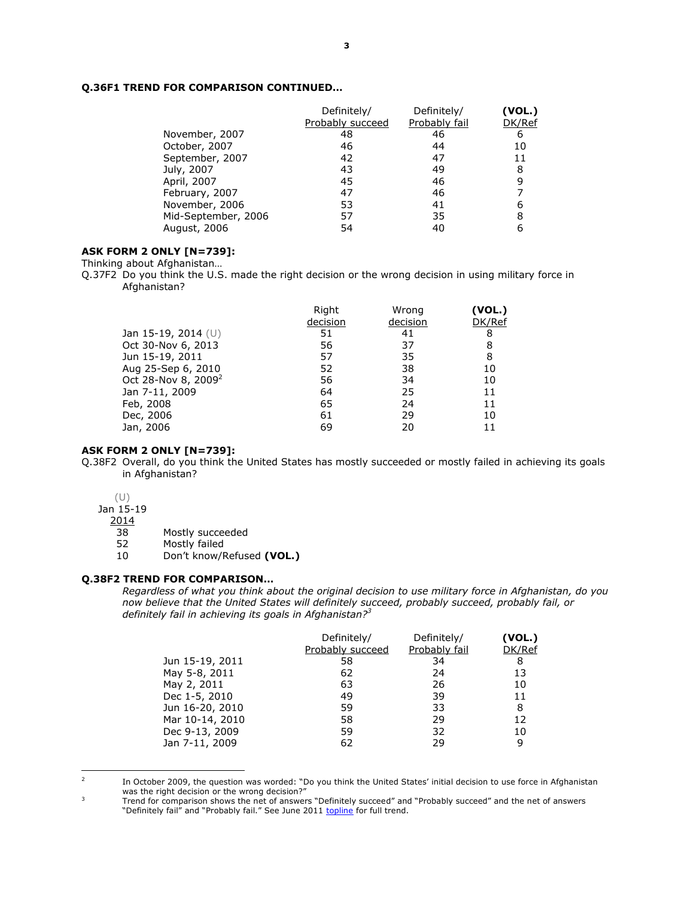# **Q.36F1 TREND FOR COMPARISON CONTINUED…**

|                     | Definitely/<br>Probably succeed | Definitely/<br>Probably fail | (VOL.)<br>DK/Ref |
|---------------------|---------------------------------|------------------------------|------------------|
| November, 2007      | 48                              | 46                           | 6                |
| October, 2007       | 46                              | 44                           | 10               |
| September, 2007     | 42                              | 47                           | 11               |
| July, 2007          | 43                              | 49                           | 8                |
| April, 2007         | 45                              | 46                           | 9                |
| February, 2007      | 47                              | 46                           |                  |
| November, 2006      | 53                              | 41                           | 6                |
| Mid-September, 2006 | 57                              | 35                           | 8                |
| August, 2006        | 54                              | 40                           | 6                |

## **ASK FORM 2 ONLY [N=739]:**

Thinking about Afghanistan…

Q.37F2 Do you think the U.S. made the right decision or the wrong decision in using military force in Afghanistan?

|                                 | Right    | Wrong    | (VOL.) |
|---------------------------------|----------|----------|--------|
|                                 | decision | decision | DK/Ref |
| Jan 15-19, 2014 $(U)$           | 51       | 41       | 8      |
| Oct 30-Nov 6, 2013              | 56       | 37       | 8      |
| Jun 15-19, 2011                 | 57       | 35       | 8      |
| Aug 25-Sep 6, 2010              | 52       | 38       | 10     |
| Oct 28-Nov 8, 2009 <sup>2</sup> | 56       | 34       | 10     |
| Jan 7-11, 2009                  | 64       | 25       | 11     |
| Feb, 2008                       | 65       | 24       | 11     |
| Dec, 2006                       | 61       | 29       | 10     |
| Jan, 2006                       | 69       | 20       | 11     |

#### **ASK FORM 2 ONLY [N=739]:**

Q.38F2 Overall, do you think the United States has mostly succeeded or mostly failed in achieving its goals in Afghanistan?

(U)

Jan 15-19

2014

38 Mostly succeeded

52 Mostly failed

10 Don't know/Refused **(VOL.)**

# **Q.38F2 TREND FOR COMPARISON…**

*Regardless of what you think about the original decision to use military force in Afghanistan, do you now believe that the United States will definitely succeed, probably succeed, probably fail, or definitely fail in achieving its goals in Afghanistan?<sup>3</sup>*

| Definitely/      | Definitely/   | (VOL.) |
|------------------|---------------|--------|
| Probably succeed | Probably fail | DK/Ref |
| 58               | 34            | 8      |
| 62               | 24            | 13     |
| 63               | 26            | 10     |
| 49               | 39            | 11     |
| 59               | 33            | 8      |
| 58               | 29            | 12     |
| 59               | 32            | 10     |
| 62               | 29            | 9      |
|                  |               |        |

<sup>2</sup> 

In October 2009, the question was worded: "Do you think the United States' initial decision to use force in Afghanistan was the right decision or the wrong decision?"

<sup>3</sup> Trend for comparison shows the net of answers "Definitely succeed" and "Probably succeed" and the net of answers "Definitely fail" and "Probably fail." See June 2011 [topline](http://www.people-press.org/files/legacy-questionnaires/Afghan%20topline%20for%20release.pdf) for full trend.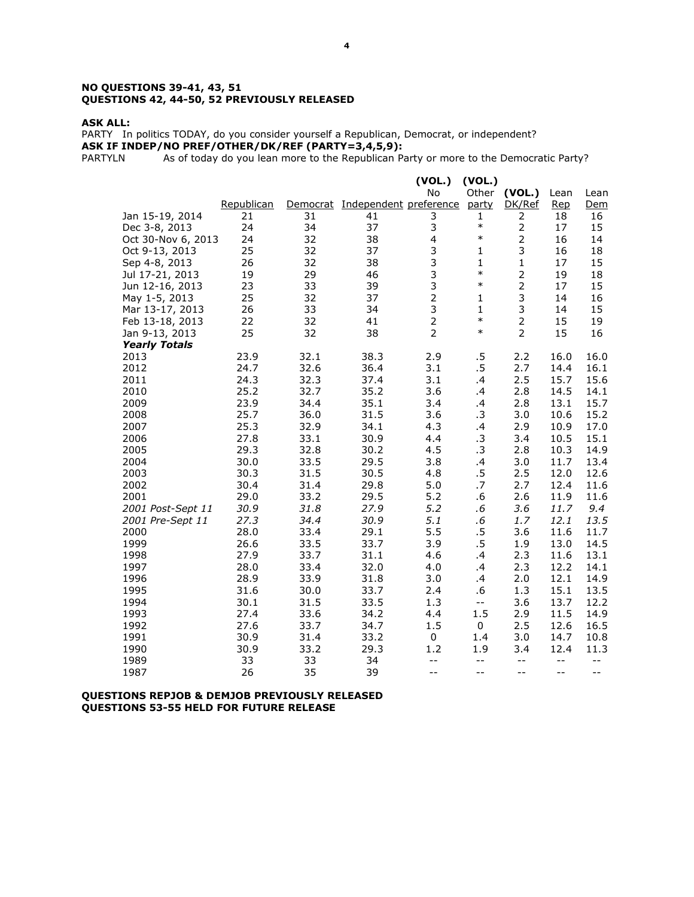#### **NO QUESTIONS 39-41, 43, 51 QUESTIONS 42, 44-50, 52 PREVIOUSLY RELEASED**

#### **ASK ALL:**

PARTY In politics TODAY, do you consider yourself a Republican, Democrat, or independent? **ASK IF INDEP/NO PREF/OTHER/DK/REF (PARTY=3,4,5,9):**

PARTYLN As of today do you lean more to the Republican Party or more to the Democratic Party?

|                      |              |              |                                 | (VOL.)         | (VOL.)                                        |                |                          |              |
|----------------------|--------------|--------------|---------------------------------|----------------|-----------------------------------------------|----------------|--------------------------|--------------|
|                      |              |              |                                 | No             | Other                                         | (VOL.)         | Lean                     | Lean         |
|                      | Republican   |              | Democrat Independent preference |                | party                                         | DK/Ref         | <u>Rep</u>               | Dem          |
| Jan 15-19, 2014      | 21           | 31           | 41                              | 3              | 1                                             | 2              | 18                       | 16           |
| Dec 3-8, 2013        | 24           | 34           | 37                              | 3              | $\ast$                                        | $\overline{2}$ | 17                       | 15           |
| Oct 30-Nov 6, 2013   | 24           | 32           | 38                              | $\overline{4}$ | $\ast$                                        |                | 16                       | 14           |
| Oct 9-13, 2013       | 25           | 32           | 37                              | 3              | $\mathbf{1}$                                  | 3              | 16                       | 18           |
| Sep 4-8, 2013        | 26           | 32           | 38                              | 3              | $\mathbf{1}$                                  | $\mathbf 1$    | 17                       | 15           |
| Jul 17-21, 2013      | 19           | 29           | 46                              | 3              | $\ast$                                        | $\overline{2}$ | 19                       | 18           |
| Jun 12-16, 2013      | 23           | 33           | 39                              | 3              | $\ast$                                        | $\overline{2}$ | 17                       | 15           |
| May 1-5, 2013        | 25           | 32           | 37                              | $\overline{2}$ | $\mathbf{1}$                                  | 3              | 14                       | 16           |
| Mar 13-17, 2013      | 26           | 33           | 34                              | 3              | $\mathbf{1}$                                  | 3              | 14                       | 15           |
| Feb 13-18, 2013      | 22           | 32           | 41                              | $\overline{2}$ | $\ast$                                        | $\overline{2}$ | 15                       | 19           |
| Jan 9-13, 2013       | 25           | 32           | 38                              | $\overline{2}$ | $\ast$                                        | $\overline{2}$ | 15                       | 16           |
| <b>Yearly Totals</b> |              |              |                                 |                |                                               |                |                          |              |
| 2013                 | 23.9         | 32.1         | 38.3                            | 2.9            | .5                                            | 2.2            | 16.0                     | 16.0         |
| 2012                 | 24.7         | 32.6         | 36.4                            | 3.1            | .5                                            | 2.7            | 14.4                     | 16.1         |
| 2011                 | 24.3         | 32.3         | 37.4                            | 3.1            | .4                                            | 2.5            | 15.7                     | 15.6         |
| 2010                 | 25.2         | 32.7         | 35.2                            | 3.6            | .4                                            | 2.8            | 14.5                     | 14.1         |
| 2009                 | 23.9         | 34.4         | 35.1                            | 3.4            | .4                                            | 2.8            | 13.1                     | 15.7         |
| 2008                 | 25.7         | 36.0         | 31.5                            | 3.6            | .3                                            | 3.0            | 10.6                     | 15.2         |
| 2007                 | 25.3         | 32.9         | 34.1                            | 4.3            | .4                                            | 2.9            | 10.9                     | 17.0         |
| 2006                 | 27.8         | 33.1         | 30.9                            | 4.4            | .3                                            | 3.4            | 10.5                     | 15.1         |
| 2005                 | 29.3         | 32.8         | 30.2                            | 4.5            | $\cdot$ 3                                     | 2.8            | 10.3                     | 14.9         |
| 2004                 | 30.0         | 33.5         | 29.5                            | 3.8            | .4                                            | 3.0            | 11.7                     | 13.4         |
| 2003                 | 30.3         | 31.5         | 30.5                            | 4.8            | .5                                            | 2.5            | 12.0                     | 12.6         |
| 2002                 | 30.4         | 31.4         | 29.8                            | 5.0            | .7                                            | 2.7            | 12.4                     | 11.6         |
| 2001                 | 29.0         | 33.2         | 29.5                            | 5.2            | .6                                            | 2.6            | 11.9                     | 11.6         |
| 2001 Post-Sept 11    | 30.9         | 31.8         | 27.9                            | 5.2            | .6                                            | 3.6            | 11.7                     | 9.4          |
| 2001 Pre-Sept 11     | 27.3<br>28.0 | 34.4         | 30.9                            | 5.1<br>5.5     | .6<br>.5                                      | 1.7            | 12.1<br>11.6             | 13.5<br>11.7 |
| 2000<br>1999         | 26.6         | 33.4         | 29.1<br>33.7                    | 3.9            | .5                                            | 3.6<br>1.9     | 13.0                     |              |
| 1998                 | 27.9         | 33.5<br>33.7 | 31.1                            | 4.6            | .4                                            | 2.3            | 11.6                     | 14.5<br>13.1 |
| 1997                 | 28.0         | 33.4         | 32.0                            | 4.0            |                                               | 2.3            | 12.2                     | 14.1         |
| 1996                 | 28.9         | 33.9         | 31.8                            | 3.0            | $\cdot$<br>.4                                 | 2.0            | 12.1                     | 14.9         |
| 1995                 | 31.6         | 30.0         | 33.7                            | 2.4            | .6                                            | 1.3            | 15.1                     | 13.5         |
| 1994                 | 30.1         | 31.5         | 33.5                            | 1.3            | $\mathord{\hspace{1pt}\text{--}\hspace{1pt}}$ | 3.6            | 13.7                     | 12.2         |
| 1993                 | 27.4         | 33.6         | 34.2                            | 4.4            | 1.5                                           | 2.9            | 11.5                     | 14.9         |
| 1992                 | 27.6         | 33.7         | 34.7                            | 1.5            | $\mathbf 0$                                   | 2.5            | 12.6                     | 16.5         |
| 1991                 | 30.9         | 31.4         | 33.2                            | $\mathbf 0$    | 1.4                                           | 3.0            | 14.7                     | 10.8         |
| 1990                 | 30.9         | 33.2         | 29.3                            | 1.2            | 1.9                                           | 3.4            | 12.4                     | 11.3         |
| 1989                 | 33           | 33           | 34                              | $-$            | $- -$                                         | $-$            | $- -$                    | $-$          |
| 1987                 | 26           | 35           | 39                              | $- -$          | $-$                                           | $-$            | $\overline{\phantom{m}}$ | $-$          |
|                      |              |              |                                 |                |                                               |                |                          |              |

## **QUESTIONS REPJOB & DEMJOB PREVIOUSLY RELEASED QUESTIONS 53-55 HELD FOR FUTURE RELEASE**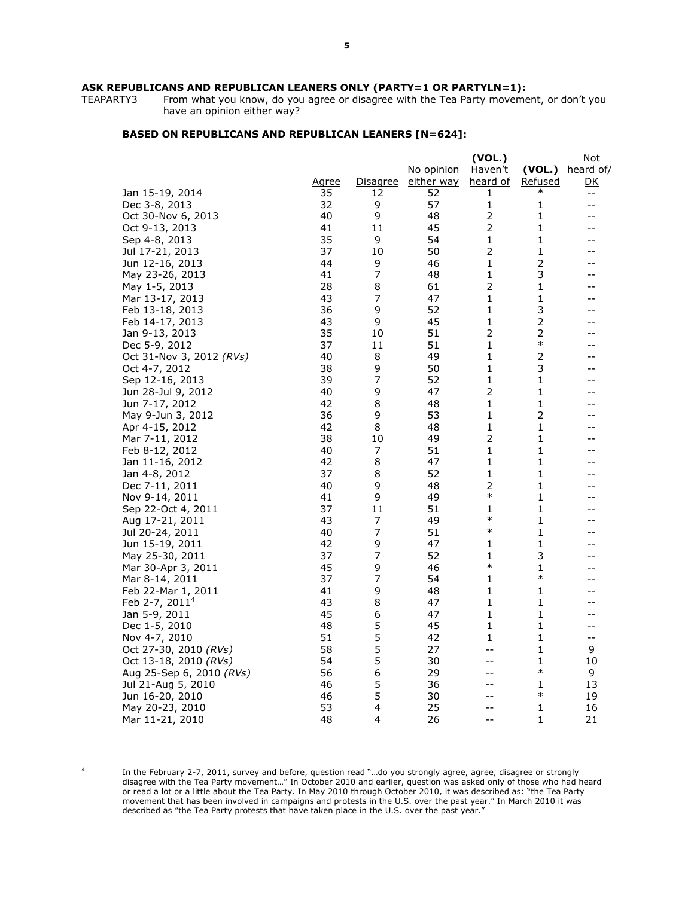# **ASK REPUBLICANS AND REPUBLICAN LEANERS ONLY (PARTY=1 OR PARTYLN=1):**<br>TEAPARTY3 From what you know, do you agree or disagree with the Tea Party moveme

From what you know, do you agree or disagree with the Tea Party movement, or don't you have an opinion either way?

## **BASED ON REPUBLICANS AND REPUBLICAN LEANERS [N=624]:**

|                          |              |                 |            | (VOL.)         |                | Not                      |
|--------------------------|--------------|-----------------|------------|----------------|----------------|--------------------------|
|                          |              |                 | No opinion | Haven't        | (VOL.)         | heard of/                |
|                          | <u>Agree</u> | <u>Disagree</u> | either way | heard of       | <u>Refused</u> | <u>DK</u>                |
| Jan 15-19, 2014          | 35           | 12              | 52         | 1              | $\ast$         | $\overline{\phantom{m}}$ |
| Dec 3-8, 2013            | 32           | 9               | 57         | 1              | 1              | $- -$                    |
| Oct 30-Nov 6, 2013       | 40           | 9               | 48         | $\mathbf 2$    | 1              | $-$                      |
| Oct 9-13, 2013           | 41           | 11              | 45         | $\mathbf 2$    | $\mathbf 1$    | $-$                      |
| Sep 4-8, 2013            | 35           | 9               | 54         | 1              | 1              | $-$                      |
| Jul 17-21, 2013          | 37           | 10              | 50         | $\overline{2}$ | 1              | --                       |
| Jun 12-16, 2013          | 44           | 9               | 46         | $\mathbf 1$    | $\mathbf 2$    | $-$                      |
| May 23-26, 2013          | 41           | 7               | 48         | $\mathbf{1}$   | 3              | $-$                      |
| May 1-5, 2013            | 28           | 8               | 61         | $\overline{2}$ | 1              | $-$                      |
| Mar 13-17, 2013          | 43           | 7               | 47         | 1              | 1              | $-$                      |
| Feb 13-18, 2013          | 36           | 9               | 52         | 1              | 3              | $-$                      |
| Feb 14-17, 2013          | 43           | 9               | 45         | 1              | $\mathbf 2$    | --                       |
| Jan 9-13, 2013           | 35           | 10              | 51         | 2              | $\mathbf 2$    | --                       |
| Dec 5-9, 2012            | 37           | 11              | 51         | 1              | $\ast$         | --                       |
| Oct 31-Nov 3, 2012 (RVs) | 40           | 8               | 49         | 1              | $\mathbf 2$    |                          |
| Oct 4-7, 2012            | 38           | 9               | 50         | 1              | 3              |                          |
| Sep 12-16, 2013          | 39           | $\overline{7}$  | 52         | $\mathbf{1}$   | $\mathbf 1$    |                          |
| Jun 28-Jul 9, 2012       | 40           | 9               | 47         | 2              | $\mathbf 1$    |                          |
| Jun 7-17, 2012           | 42           | 8               | 48         | 1              | $\mathbf 1$    | --                       |
| May 9-Jun 3, 2012        | 36           | 9               | 53         | 1              | $\overline{2}$ | --                       |
| Apr 4-15, 2012           | 42           | 8               | 48         | 1              | 1              | --                       |
| Mar 7-11, 2012           | 38           | 10              | 49         | 2              | 1              | $-$                      |
| Feb 8-12, 2012           | 40           | 7               | 51         | 1              | 1              | --                       |
| Jan 11-16, 2012          | 42           | 8               | 47         | 1              | 1              | $-$                      |
| Jan 4-8, 2012            | 37           | 8               | 52         | 1              | 1              | --                       |
| Dec 7-11, 2011           | 40           | 9               | 48         | 2              | 1              | --                       |
| Nov 9-14, 2011           | 41           | 9               | 49         | $\ast$         | 1              | --                       |
| Sep 22-Oct 4, 2011       | 37           | 11              | 51         | 1              | $\mathbf 1$    | --                       |
| Aug 17-21, 2011          | 43           | 7               | 49         | $\ast$         | $\mathbf 1$    | --                       |
| Jul 20-24, 2011          | 40           | $\overline{7}$  | 51         | $\ast$         | $\mathbf 1$    | $-$                      |
| Jun 15-19, 2011          | 42           | 9               | 47         | 1              | $\mathbf 1$    | $-$                      |
| May 25-30, 2011          | 37           | $\overline{7}$  | 52         | 1              | 3              | $-1$                     |
| Mar 30-Apr 3, 2011       | 45           | 9               | 46         | $\ast$         | 1              | --                       |
| Mar 8-14, 2011           | 37           | $\overline{7}$  | 54         | 1              | $\ast$         | --                       |
| Feb 22-Mar 1, 2011       | 41           | 9               | 48         | 1              | 1              | --                       |
| Feb 2-7, $2011^4$        | 43           | 8               | 47         | 1              | 1              |                          |
| Jan 5-9, 2011            | 45           | 6               | 47         | 1              | 1              |                          |
| Dec 1-5, 2010            | 48           | 5               | 45         | 1              | $\mathbf 1$    | --                       |
| Nov 4-7, 2010            | 51           | 5               | 42         | 1              | 1              | $-\, -$                  |
| Oct 27-30, 2010 $(RVs)$  | 58           | 5               | 27         | --             | $\mathbf 1$    | 9                        |
| Oct 13-18, 2010 $(RVs)$  | 54           | 5               | 30         | $-1$           | 1              | 10                       |
| Aug 25-Sep 6, 2010 (RVs) | 56           | 6               | 29         | --             | $\ast$         | 9                        |
| Jul 21-Aug 5, 2010       | 46           | 5               | 36         | --             | 1              | 13                       |
| Jun 16-20, 2010          | 46           | 5               | 30         | --             | $\ast$         | 19                       |
| May 20-23, 2010          | 53           | 4               | 25         | $-1$           | 1              | 16                       |
| Mar 11-21, 2010          | 48           | 4               | 26         | $=$ $-$        | 1              | 21                       |

 4

In the February 2-7, 2011, survey and before, question read "…do you strongly agree, agree, disagree or strongly disagree with the Tea Party movement…" In October 2010 and earlier, question was asked only of those who had heard or read a lot or a little about the Tea Party. In May 2010 through October 2010, it was described as: "the Tea Party movement that has been involved in campaigns and protests in the U.S. over the past year." In March 2010 it was described as "the Tea Party protests that have taken place in the U.S. over the past year."